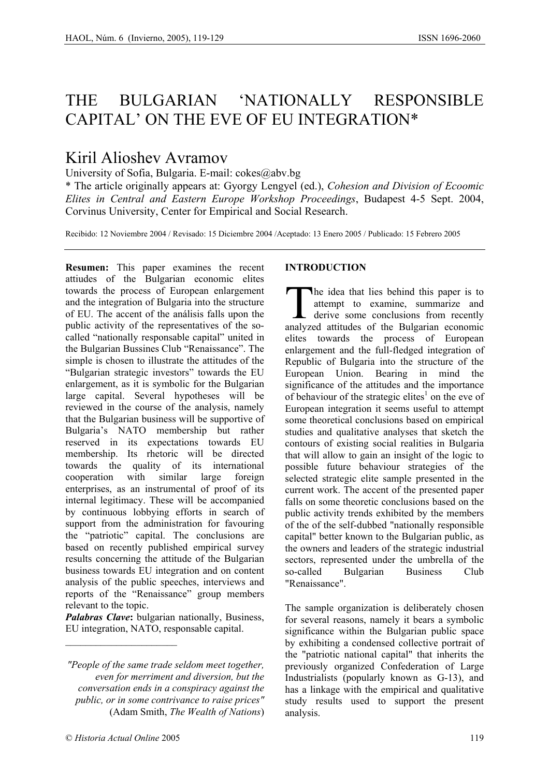# THE BULGARIAN 'NATIONALLY RESPONSIBLE CAPITAL' ON THE EVE OF EU INTEGRATION\*

## Kiril Alioshev Avramov

University of Sofia, Bulgaria. E-mail: cokes@abv.bg

\* The article originally appears at: Gyorgy Lengyel (ed.), *Cohesion and Division of Ecoomic Elites in Central and Eastern Europe Workshop Proceedings*, Budapest 4-5 Sept. 2004, Corvinus University, Center for Empirical and Social Research.

Recibido: 12 Noviembre 2004 / Revisado: 15 Diciembre 2004 /Aceptado: 13 Enero 2005 / Publicado: 15 Febrero 2005

**Resumen:** This paper examines the recent attiudes of the Bulgarian economic elites towards the process of European enlargement and the integration of Bulgaria into the structure of EU. The accent of the análisis falls upon the public activity of the representatives of the socalled "nationally responsable capital" united in the Bulgarian Bussines Club "Renaissance". The simple is chosen to illustrate the attitudes of the "Bulgarian strategic investors" towards the EU enlargement, as it is symbolic for the Bulgarian large capital. Several hypotheses will be reviewed in the course of the analysis, namely that the Bulgarian business will be supportive of Bulgaria's NATO membership but rather reserved in its expectations towards EU membership. Its rhetoric will be directed towards the quality of its international cooperation with similar large foreign enterprises, as an instrumental of proof of its internal legitimacy. These will be accompanied by continuous lobbying efforts in search of support from the administration for favouring the "patriotic" capital. The conclusions are based on recently published empirical survey results concerning the attitude of the Bulgarian business towards EU integration and on content analysis of the public speeches, interviews and reports of the "Renaissance" group members relevant to the topic.

*Palabras Clave***:** bulgarian nationally, Business, EU integration, NATO, responsable capital.

*"People of the same trade seldom meet together, even for merriment and diversion, but the conversation ends in a conspiracy against the public, or in some contrivance to raise prices"* (Adam Smith, *The Wealth of Nations*)

#### **INTRODUCTION**

he idea that lies behind this paper is to attempt to examine, summarize and  $\overline{\phantom{a}}$  derive some conclusions from recently The idea that lies behind this paper is to attempt to examine, summarize and derive some conclusions from recently analyzed attitudes of the Bulgarian economic elites towards the process of European enlargement and the full-fledged integration of Republic of Bulgaria into the structure of the European Union. Bearing in mind the significance of the attitudes and the importance of behaviour of the strategic elites<sup>1</sup> on the eve of European integration it seems useful to attempt some theoretical conclusions based on empirical studies and qualitative analyses that sketch the contours of existing social realities in Bulgaria that will allow to gain an insight of the logic to possible future behaviour strategies of the selected strategic elite sample presented in the current work. The accent of the presented paper falls on some theoretic conclusions based on the public activity trends exhibited by the members of the of the self-dubbed "nationally responsible capital" better known to the Bulgarian public, as the owners and leaders of the strategic industrial sectors, represented under the umbrella of the so-called Bulgarian Business Club "Renaissance".

The sample organization is deliberately chosen for several reasons, namely it bears a symbolic significance within the Bulgarian public space by exhibiting a condensed collective portrait of the "patriotic national capital" that inherits the previously organized Confederation of Large Industrialists (popularly known as G-13), and has a linkage with the empirical and qualitative study results used to support the present analysis.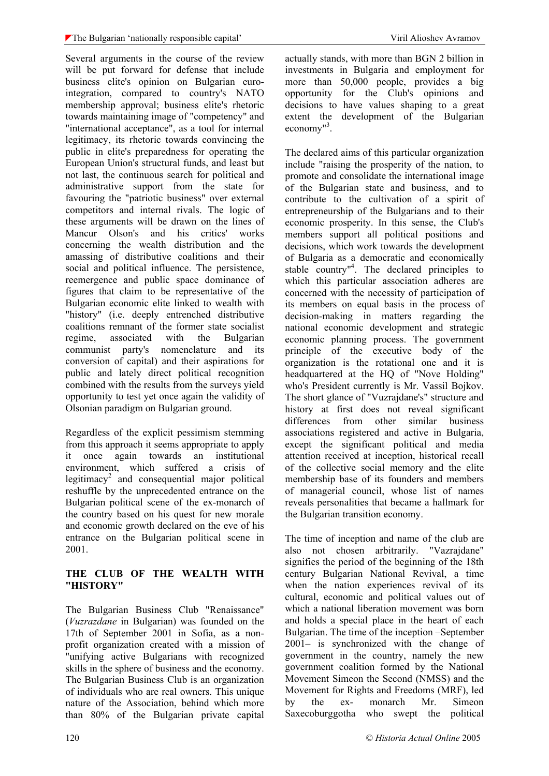Several arguments in the course of the review will be put forward for defense that include business elite's opinion on Bulgarian eurointegration, compared to country's NATO membership approval; business elite's rhetoric towards maintaining image of "competency" and "international acceptance", as a tool for internal legitimacy, its rhetoric towards convincing the public in elite's preparedness for operating the European Union's structural funds, and least but not last, the continuous search for political and administrative support from the state for favouring the "patriotic business" over external competitors and internal rivals. The logic of these arguments will be drawn on the lines of Mancur Olson's and his critics' works concerning the wealth distribution and the amassing of distributive coalitions and their social and political influence. The persistence, reemergence and public space dominance of figures that claim to be representative of the Bulgarian economic elite linked to wealth with "history" (i.e. deeply entrenched distributive coalitions remnant of the former state socialist regime, associated with the Bulgarian communist party's nomenclature and its conversion of capital) and their aspirations for public and lately direct political recognition combined with the results from the surveys yield opportunity to test yet once again the validity of Olsonian paradigm on Bulgarian ground.

Regardless of the explicit pessimism stemming from this approach it seems appropriate to apply it once again towards an institutional environment, which suffered a crisis of legitimacy<sup>2</sup> and consequential major political reshuffle by the unprecedented entrance on the Bulgarian political scene of the ex-monarch of the country based on his quest for new morale and economic growth declared on the eve of his entrance on the Bulgarian political scene in 2001.

#### **THE CLUB OF THE WEALTH WITH "HISTORY"**

The Bulgarian Business Club "Renaissance" (*Vuzrazdane* in Bulgarian) was founded on the 17th of September 2001 in Sofia, as a nonprofit organization created with a mission of "unifying active Bulgarians with recognized skills in the sphere of business and the economy. The Bulgarian Business Club is an organization of individuals who are real owners. This unique nature of the Association, behind which more than 80% of the Bulgarian private capital actually stands, with more than BGN 2 billion in investments in Bulgaria and employment for more than 50,000 people, provides a big opportunity for the Club's opinions and decisions to have values shaping to a great extent the development of the Bulgarian economy<sup>"3</sup>.

The declared aims of this particular organization include "raising the prosperity of the nation, to promote and consolidate the international image of the Bulgarian state and business, and to contribute to the cultivation of a spirit of entrepreneurship of the Bulgarians and to their economic prosperity. In this sense, the Club's members support all political positions and decisions, which work towards the development of Bulgaria as a democratic and economically stable country<sup>"4</sup>. The declared principles to which this particular association adheres are concerned with the necessity of participation of its members on equal basis in the process of decision-making in matters regarding the national economic development and strategic economic planning process. The government principle of the executive body of the organization is the rotational one and it is headquartered at the HQ of "Nove Holding" who's President currently is Mr. Vassil Bojkov. The short glance of "Vuzrajdane's" structure and history at first does not reveal significant differences from other similar business associations registered and active in Bulgaria, except the significant political and media attention received at inception, historical recall of the collective social memory and the elite membership base of its founders and members of managerial council, whose list of names reveals personalities that became a hallmark for the Bulgarian transition economy.

The time of inception and name of the club are also not chosen arbitrarily. "Vazrajdane" signifies the period of the beginning of the 18th century Bulgarian National Revival, a time when the nation experiences revival of its cultural, economic and political values out of which a national liberation movement was born and holds a special place in the heart of each Bulgarian. The time of the inception –September 2001– is synchronized with the change of government in the country, namely the new government coalition formed by the National Movement Simeon the Second (NMSS) and the Movement for Rights and Freedoms (MRF), led by the ex- monarch Mr. Simeon Saxecoburggotha who swept the political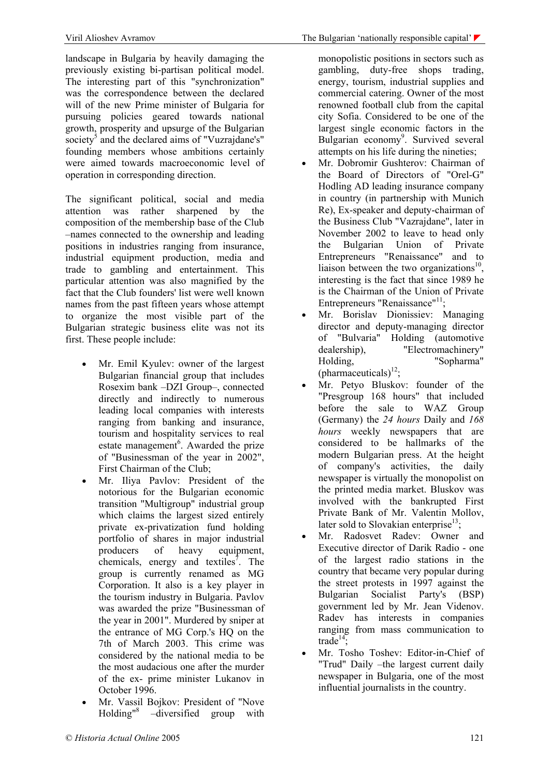landscape in Bulgaria by heavily damaging the previously existing bi-partisan political model. The interesting part of this "synchronization" was the correspondence between the declared will of the new Prime minister of Bulgaria for pursuing policies geared towards national growth, prosperity and upsurge of the Bulgarian society<sup>5</sup> and the declared aims of "Vuzrajdane's" founding members whose ambitions certainly were aimed towards macroeconomic level of operation in corresponding direction.

The significant political, social and media attention was rather sharpened by the composition of the membership base of the Club –names connected to the ownership and leading positions in industries ranging from insurance, industrial equipment production, media and trade to gambling and entertainment. This particular attention was also magnified by the fact that the Club founders' list were well known names from the past fifteen years whose attempt to organize the most visible part of the Bulgarian strategic business elite was not its first. These people include:

- Mr. Emil Kyulev: owner of the largest Bulgarian financial group that includes Rosexim bank –DZI Group–, connected directly and indirectly to numerous leading local companies with interests ranging from banking and insurance, tourism and hospitality services to real estate management<sup>6</sup>. Awarded the prize of "Businessman of the year in 2002", First Chairman of the Club;
- Mr. Iliya Pavlov: President of the notorious for the Bulgarian economic transition "Multigroup" industrial group which claims the largest sized entirely private ex-privatization fund holding portfolio of shares in major industrial producers of heavy equipment, chemicals, energy and textiles<sup>7</sup>. The group is currently renamed as MG Corporation. It also is a key player in the tourism industry in Bulgaria. Pavlov was awarded the prize "Businessman of the year in 2001". Murdered by sniper at the entrance of MG Corp.'s HO on the 7th of March 2003. This crime was considered by the national media to be the most audacious one after the murder of the ex- prime minister Lukanov in October 1996.
- Mr. Vassil Bojkov: President of "Nove Holding"8 –diversified group with

monopolistic positions in sectors such as gambling, duty-free shops trading, energy, tourism, industrial supplies and commercial catering. Owner of the most renowned football club from the capital city Sofia. Considered to be one of the largest single economic factors in the Bulgarian economy<sup>9</sup>. Survived several attempts on his life during the nineties;

- Mr. Dobromir Gushterov: Chairman of the Board of Directors of "Orel-G" Hodling AD leading insurance company in country (in partnership with Munich Re), Ex-speaker and deputy-chairman of the Business Club "Vazrajdane", later in November 2002 to leave to head only the Bulgarian Union of Private Entrepreneurs "Renaissance" and to liaison between the two organizations $^{10}$ , interesting is the fact that since 1989 he is the Chairman of the Union of Private Entrepreneurs "Renaissance"<sup>11</sup>:
- Mr. Borislav Dionissiev: Managing director and deputy-managing director of "Bulvaria" Holding (automotive dealership), "Electromachinery" Holding, "Sopharma" (pharmaceuticals) $^{12}$ ;
- Mr. Petyo Bluskov: founder of the "Presgroup 168 hours" that included before the sale to WAZ Group (Germany) the *24 hours* Daily and *168 hours* weekly newspapers that are considered to be hallmarks of the modern Bulgarian press. At the height of company's activities, the daily newspaper is virtually the monopolist on the printed media market. Bluskov was involved with the bankrupted First Private Bank of Mr. Valentin Mollov, later sold to Slovakian enterprise<sup>13</sup>;
- Mr. Radosvet Radev: Owner and Executive director of Darik Radio - one of the largest radio stations in the country that became very popular during the street protests in 1997 against the Bulgarian Socialist Party's (BSP) government led by Mr. Jean Videnov. Radev has interests in companies ranging from mass communication to trade<sup>14</sup>;
- Mr. Tosho Toshev: Editor-in-Chief of "Trud" Daily –the largest current daily newspaper in Bulgaria, one of the most influential journalists in the country.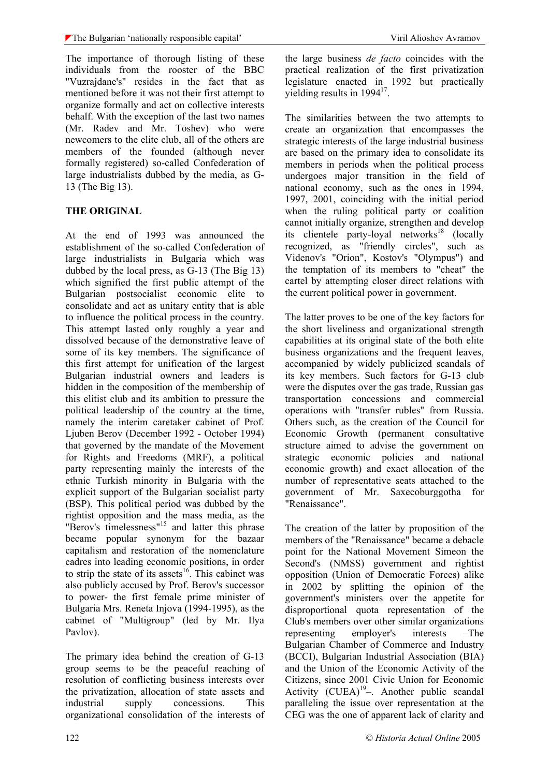The importance of thorough listing of these individuals from the rooster of the BBC "Vuzrajdane's" resides in the fact that as mentioned before it was not their first attempt to organize formally and act on collective interests behalf. With the exception of the last two names (Mr. Radev and Mr. Toshev) who were newcomers to the elite club, all of the others are members of the founded (although never formally registered) so-called Confederation of large industrialists dubbed by the media, as G-13 (The Big 13).

### **THE ORIGINAL**

At the end of 1993 was announced the establishment of the so-called Confederation of large industrialists in Bulgaria which was dubbed by the local press, as G-13 (The Big 13) which signified the first public attempt of the Bulgarian postsocialist economic elite to consolidate and act as unitary entity that is able to influence the political process in the country. This attempt lasted only roughly a year and dissolved because of the demonstrative leave of some of its key members. The significance of this first attempt for unification of the largest Bulgarian industrial owners and leaders is hidden in the composition of the membership of this elitist club and its ambition to pressure the political leadership of the country at the time, namely the interim caretaker cabinet of Prof. Ljuben Berov (December 1992 - October 1994) that governed by the mandate of the Movement for Rights and Freedoms (MRF), a political party representing mainly the interests of the ethnic Turkish minority in Bulgaria with the explicit support of the Bulgarian socialist party (BSP). This political period was dubbed by the rightist opposition and the mass media, as the "Berov's timelessness"<sup>15</sup> and latter this phrase became popular synonym for the bazaar capitalism and restoration of the nomenclature cadres into leading economic positions, in order to strip the state of its assets<sup>16</sup>. This cabinet was also publicly accused by Prof. Berov's successor to power- the first female prime minister of Bulgaria Mrs. Reneta Injova (1994-1995), as the cabinet of "Multigroup" (led by Mr. Ilya Pavlov).

The primary idea behind the creation of G-13 group seems to be the peaceful reaching of resolution of conflicting business interests over the privatization, allocation of state assets and industrial supply concessions. This organizational consolidation of the interests of

the large business *de facto* coincides with the practical realization of the first privatization legislature enacted in 1992 but practically yielding results in 1994<sup>17</sup>.

The similarities between the two attempts to create an organization that encompasses the strategic interests of the large industrial business are based on the primary idea to consolidate its members in periods when the political process undergoes major transition in the field of national economy, such as the ones in 1994, 1997, 2001, coinciding with the initial period when the ruling political party or coalition cannot initially organize, strengthen and develop its clientele party-loyal networks<sup>18</sup> (locally recognized, as "friendly circles", such as Videnov's "Orion", Kostov's "Olympus") and the temptation of its members to "cheat" the cartel by attempting closer direct relations with the current political power in government.

The latter proves to be one of the key factors for the short liveliness and organizational strength capabilities at its original state of the both elite business organizations and the frequent leaves, accompanied by widely publicized scandals of its key members. Such factors for G-13 club were the disputes over the gas trade, Russian gas transportation concessions and commercial operations with "transfer rubles" from Russia. Others such, as the creation of the Council for Economic Growth (permanent consultative structure aimed to advise the government on strategic economic policies and national economic growth) and exact allocation of the number of representative seats attached to the government of Mr. Saxecoburggotha for "Renaissance".

The creation of the latter by proposition of the members of the "Renaissance" became a debacle point for the National Movement Simeon the Second's (NMSS) government and rightist opposition (Union of Democratic Forces) alike in 2002 by splitting the opinion of the government's ministers over the appetite for disproportional quota representation of the Club's members over other similar organizations representing employer's interests –The Bulgarian Chamber of Commerce and Industry (BCCI), Bulgarian Industrial Association (BIA) and the Union of the Economic Activity of the Citizens, since 2001 Civic Union for Economic Activity  $(CUEA)^{19}$ –. Another public scandal paralleling the issue over representation at the CEG was the one of apparent lack of clarity and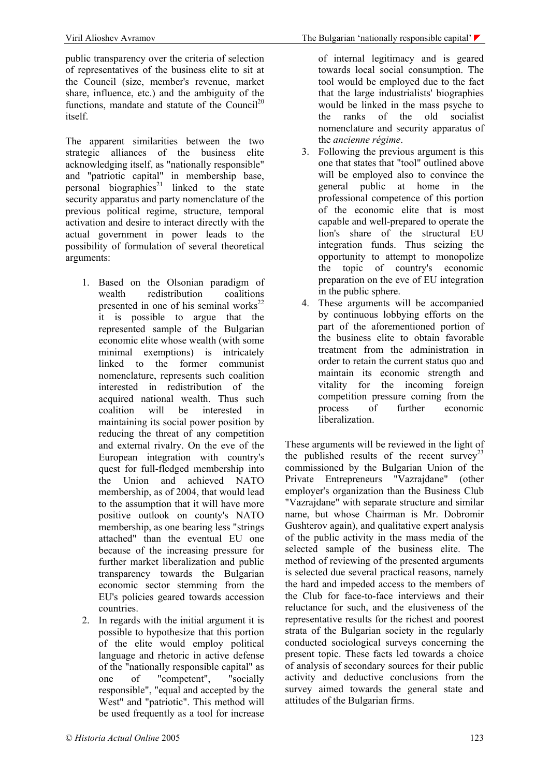public transparency over the criteria of selection of representatives of the business elite to sit at the Council (size, member's revenue, market share, influence, etc.) and the ambiguity of the functions, mandate and statute of the Council<sup>20</sup> itself.

The apparent similarities between the two strategic alliances of the business elite acknowledging itself, as "nationally responsible" and "patriotic capital" in membership base, personal biographies<sup>21</sup> linked to the state security apparatus and party nomenclature of the previous political regime, structure, temporal activation and desire to interact directly with the actual government in power leads to the possibility of formulation of several theoretical arguments:

- 1. Based on the Olsonian paradigm of wealth redistribution coalitions presented in one of his seminal works $^{22}$ it is possible to argue that the represented sample of the Bulgarian economic elite whose wealth (with some minimal exemptions) is intricately linked to the former communist nomenclature, represents such coalition interested in redistribution of the acquired national wealth. Thus such coalition will be interested in maintaining its social power position by reducing the threat of any competition and external rivalry. On the eve of the European integration with country's quest for full-fledged membership into the Union and achieved NATO membership, as of 2004, that would lead to the assumption that it will have more positive outlook on county's NATO membership, as one bearing less "strings attached" than the eventual EU one because of the increasing pressure for further market liberalization and public transparency towards the Bulgarian economic sector stemming from the EU's policies geared towards accession countries.
- 2. In regards with the initial argument it is possible to hypothesize that this portion of the elite would employ political language and rhetoric in active defense of the "nationally responsible capital" as one of "competent", "socially responsible", "equal and accepted by the West" and "patriotic". This method will be used frequently as a tool for increase

of internal legitimacy and is geared towards local social consumption. The tool would be employed due to the fact that the large industrialists' biographies would be linked in the mass psyche to the ranks of the old socialist nomenclature and security apparatus of the *ancienne régime*.

- 3. Following the previous argument is this one that states that "tool" outlined above will be employed also to convince the general public at home in the professional competence of this portion of the economic elite that is most capable and well-prepared to operate the lion's share of the structural EU integration funds. Thus seizing the opportunity to attempt to monopolize the topic of country's economic preparation on the eve of EU integration in the public sphere.
- 4. These arguments will be accompanied by continuous lobbying efforts on the part of the aforementioned portion of the business elite to obtain favorable treatment from the administration in order to retain the current status quo and maintain its economic strength and vitality for the incoming foreign competition pressure coming from the process of further economic liberalization.

These arguments will be reviewed in the light of the published results of the recent survey<sup>23</sup> commissioned by the Bulgarian Union of the Private Entrepreneurs "Vazrajdane" (other employer's organization than the Business Club "Vazrajdane" with separate structure and similar name, but whose Chairman is Mr. Dobromir Gushterov again), and qualitative expert analysis of the public activity in the mass media of the selected sample of the business elite. The method of reviewing of the presented arguments is selected due several practical reasons, namely the hard and impeded access to the members of the Club for face-to-face interviews and their reluctance for such, and the elusiveness of the representative results for the richest and poorest strata of the Bulgarian society in the regularly conducted sociological surveys concerning the present topic. These facts led towards a choice of analysis of secondary sources for their public activity and deductive conclusions from the survey aimed towards the general state and attitudes of the Bulgarian firms.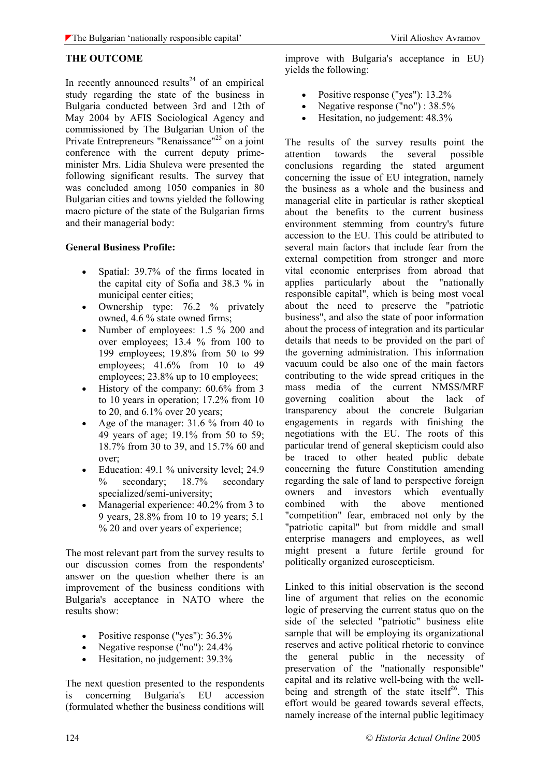#### **THE OUTCOME**

In recently announced results<sup>24</sup> of an empirical study regarding the state of the business in Bulgaria conducted between 3rd and 12th of May 2004 by AFIS Sociological Agency and commissioned by The Bulgarian Union of the Private Entrepreneurs "Renaissance"<sup>25</sup> on a joint conference with the current deputy primeminister Mrs. Lidia Shuleva were presented the following significant results. The survey that was concluded among 1050 companies in 80 Bulgarian cities and towns yielded the following macro picture of the state of the Bulgarian firms and their managerial body:

#### **General Business Profile:**

- Spatial: 39.7% of the firms located in the capital city of Sofia and 38.3 % in municipal center cities;
- Ownership type: 76.2 % privately owned, 4.6 % state owned firms;
- Number of employees: 1.5 % 200 and over employees; 13.4 % from 100 to 199 employees; 19.8% from 50 to 99 employees; 41.6% from 10 to 49 employees; 23.8% up to 10 employees;
- History of the company:  $60.6\%$  from 3 to 10 years in operation; 17.2% from 10 to 20, and 6.1% over 20 years;
- Age of the manager: 31.6 % from 40 to 49 years of age; 19.1% from 50 to 59; 18.7% from 30 to 39, and 15.7% 60 and over;
- Education: 49.1 % university level; 24.9 % secondary; 18.7% secondary specialized/semi-university;
- Managerial experience:  $40.2\%$  from 3 to 9 years, 28.8% from 10 to 19 years; 5.1 % 20 and over years of experience;

The most relevant part from the survey results to our discussion comes from the respondents' answer on the question whether there is an improvement of the business conditions with Bulgaria's acceptance in NATO where the results show:

- Positive response ("yes"):  $36.3\%$
- Negative response ("no"): 24.4%
- Hesitation, no judgement: 39.3%

The next question presented to the respondents is concerning Bulgaria's EU accession (formulated whether the business conditions will

improve with Bulgaria's acceptance in EU) yields the following:

- Positive response ("yes"): 13.2%
- Negative response ("no") : 38.5%
- Hesitation, no judgement: 48.3%

The results of the survey results point the attention towards the several possible conclusions regarding the stated argument concerning the issue of EU integration, namely the business as a whole and the business and managerial elite in particular is rather skeptical about the benefits to the current business environment stemming from country's future accession to the EU. This could be attributed to several main factors that include fear from the external competition from stronger and more vital economic enterprises from abroad that applies particularly about the "nationally responsible capital", which is being most vocal about the need to preserve the "patriotic business", and also the state of poor information about the process of integration and its particular details that needs to be provided on the part of the governing administration. This information vacuum could be also one of the main factors contributing to the wide spread critiques in the mass media of the current NMSS/MRF governing coalition about the lack of transparency about the concrete Bulgarian engagements in regards with finishing the negotiations with the EU. The roots of this particular trend of general skepticism could also be traced to other heated public debate concerning the future Constitution amending regarding the sale of land to perspective foreign owners and investors which eventually combined with the above mentioned "competition" fear, embraced not only by the "patriotic capital" but from middle and small enterprise managers and employees, as well might present a future fertile ground for politically organized euroscepticism.

Linked to this initial observation is the second line of argument that relies on the economic logic of preserving the current status quo on the side of the selected "patriotic" business elite sample that will be employing its organizational reserves and active political rhetoric to convince the general public in the necessity of preservation of the "nationally responsible" capital and its relative well-being with the wellbeing and strength of the state itself<sup>26</sup>. This effort would be geared towards several effects, namely increase of the internal public legitimacy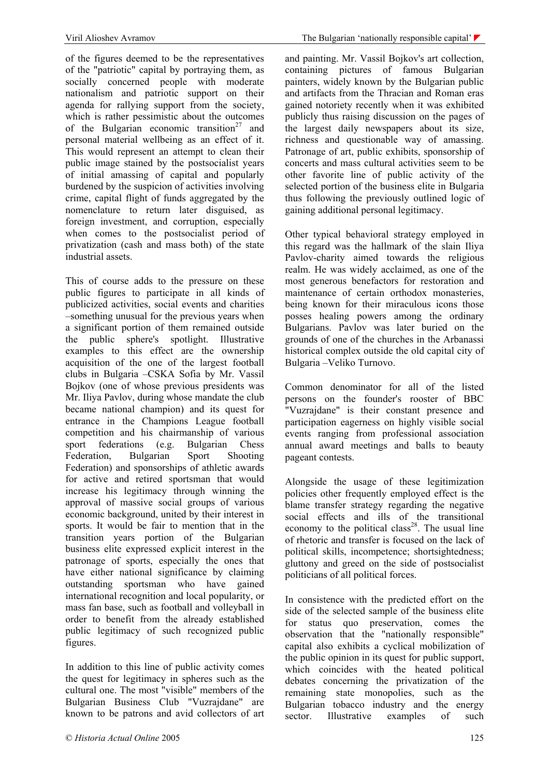of the figures deemed to be the representatives of the "patriotic" capital by portraying them, as socially concerned people with moderate nationalism and patriotic support on their agenda for rallying support from the society, which is rather pessimistic about the outcomes of the Bulgarian economic transition<sup>27</sup> and personal material wellbeing as an effect of it. This would represent an attempt to clean their public image stained by the postsocialist years of initial amassing of capital and popularly burdened by the suspicion of activities involving crime, capital flight of funds aggregated by the nomenclature to return later disguised, as foreign investment, and corruption, especially when comes to the postsocialist period of privatization (cash and mass both) of the state industrial assets.

This of course adds to the pressure on these public figures to participate in all kinds of publicized activities, social events and charities –something unusual for the previous years when a significant portion of them remained outside the public sphere's spotlight. Illustrative examples to this effect are the ownership acquisition of the one of the largest football clubs in Bulgaria –CSKA Sofia by Mr. Vassil Bojkov (one of whose previous presidents was Mr. Iliya Pavlov, during whose mandate the club became national champion) and its quest for entrance in the Champions League football competition and his chairmanship of various sport federations (e.g. Bulgarian Chess Federation, Bulgarian Sport Shooting Federation) and sponsorships of athletic awards for active and retired sportsman that would increase his legitimacy through winning the approval of massive social groups of various economic background, united by their interest in sports. It would be fair to mention that in the transition years portion of the Bulgarian business elite expressed explicit interest in the patronage of sports, especially the ones that have either national significance by claiming outstanding sportsman who have gained international recognition and local popularity, or mass fan base, such as football and volleyball in order to benefit from the already established public legitimacy of such recognized public figures.

In addition to this line of public activity comes the quest for legitimacy in spheres such as the cultural one. The most "visible" members of the Bulgarian Business Club "Vuzrajdane" are known to be patrons and avid collectors of art and painting. Mr. Vassil Bojkov's art collection, containing pictures of famous Bulgarian painters, widely known by the Bulgarian public and artifacts from the Thracian and Roman eras gained notoriety recently when it was exhibited publicly thus raising discussion on the pages of the largest daily newspapers about its size, richness and questionable way of amassing. Patronage of art, public exhibits, sponsorship of concerts and mass cultural activities seem to be other favorite line of public activity of the selected portion of the business elite in Bulgaria thus following the previously outlined logic of gaining additional personal legitimacy.

Other typical behavioral strategy employed in this regard was the hallmark of the slain Iliya Pavlov-charity aimed towards the religious realm. He was widely acclaimed, as one of the most generous benefactors for restoration and maintenance of certain orthodox monasteries being known for their miraculous icons those posses healing powers among the ordinary Bulgarians. Pavlov was later buried on the grounds of one of the churches in the Arbanassi historical complex outside the old capital city of Bulgaria –Veliko Turnovo.

Common denominator for all of the listed persons on the founder's rooster of BBC "Vuzrajdane" is their constant presence and participation eagerness on highly visible social events ranging from professional association annual award meetings and balls to beauty pageant contests.

Alongside the usage of these legitimization policies other frequently employed effect is the blame transfer strategy regarding the negative social effects and ills of the transitional economy to the political class<sup>28</sup>. The usual line of rhetoric and transfer is focused on the lack of political skills, incompetence; shortsightedness; gluttony and greed on the side of postsocialist politicians of all political forces.

In consistence with the predicted effort on the side of the selected sample of the business elite for status quo preservation, comes the observation that the "nationally responsible" capital also exhibits a cyclical mobilization of the public opinion in its quest for public support, which coincides with the heated political debates concerning the privatization of the remaining state monopolies, such as the Bulgarian tobacco industry and the energy sector. Illustrative examples of such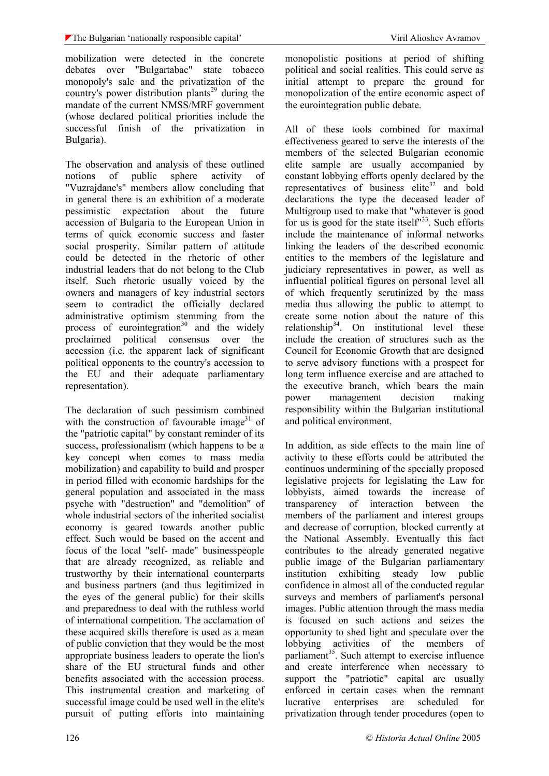mobilization were detected in the concrete debates over "Bulgartabac" state tobacco monopoly's sale and the privatization of the country's power distribution plants<sup>29</sup> during the mandate of the current NMSS/MRF government (whose declared political priorities include the successful finish of the privatization in Bulgaria).

The observation and analysis of these outlined notions of public sphere activity of "Vuzrajdane's" members allow concluding that in general there is an exhibition of a moderate pessimistic expectation about the future accession of Bulgaria to the European Union in terms of quick economic success and faster social prosperity. Similar pattern of attitude could be detected in the rhetoric of other industrial leaders that do not belong to the Club itself. Such rhetoric usually voiced by the owners and managers of key industrial sectors seem to contradict the officially declared administrative optimism stemming from the process of eurointegration<sup>30</sup> and the widely proclaimed political consensus over the accession (i.e. the apparent lack of significant political opponents to the country's accession to the EU and their adequate parliamentary representation).

The declaration of such pessimism combined with the construction of favourable image<sup>31</sup> of the "patriotic capital" by constant reminder of its success, professionalism (which happens to be a key concept when comes to mass media mobilization) and capability to build and prosper in period filled with economic hardships for the general population and associated in the mass psyche with "destruction" and "demolition" of whole industrial sectors of the inherited socialist economy is geared towards another public effect. Such would be based on the accent and focus of the local "self- made" businesspeople that are already recognized, as reliable and trustworthy by their international counterparts and business partners (and thus legitimized in the eyes of the general public) for their skills and preparedness to deal with the ruthless world of international competition. The acclamation of these acquired skills therefore is used as a mean of public conviction that they would be the most appropriate business leaders to operate the lion's share of the EU structural funds and other benefits associated with the accession process. This instrumental creation and marketing of successful image could be used well in the elite's pursuit of putting efforts into maintaining monopolistic positions at period of shifting political and social realities. This could serve as initial attempt to prepare the ground for monopolization of the entire economic aspect of the eurointegration public debate.

All of these tools combined for maximal effectiveness geared to serve the interests of the members of the selected Bulgarian economic elite sample are usually accompanied by constant lobbying efforts openly declared by the representatives of business elite<sup>32</sup> and bold declarations the type the deceased leader of Multigroup used to make that "whatever is good for us is good for the state itself $^{\prime\prime}$ <sup>33</sup>. Such efforts include the maintenance of informal networks linking the leaders of the described economic entities to the members of the legislature and judiciary representatives in power, as well as influential political figures on personal level all of which frequently scrutinized by the mass media thus allowing the public to attempt to create some notion about the nature of this relationship<sup>34</sup>. On institutional level these include the creation of structures such as the Council for Economic Growth that are designed to serve advisory functions with a prospect for long term influence exercise and are attached to the executive branch, which bears the main power management decision making responsibility within the Bulgarian institutional and political environment.

In addition, as side effects to the main line of activity to these efforts could be attributed the continuos undermining of the specially proposed legislative projects for legislating the Law for lobbyists, aimed towards the increase of transparency of interaction between the members of the parliament and interest groups and decrease of corruption, blocked currently at the National Assembly. Eventually this fact contributes to the already generated negative public image of the Bulgarian parliamentary institution exhibiting steady low public confidence in almost all of the conducted regular surveys and members of parliament's personal images. Public attention through the mass media is focused on such actions and seizes the opportunity to shed light and speculate over the lobbying activities of the members of parliament<sup>35</sup>. Such attempt to exercise influence and create interference when necessary to support the "patriotic" capital are usually enforced in certain cases when the remnant lucrative enterprises are scheduled for privatization through tender procedures (open to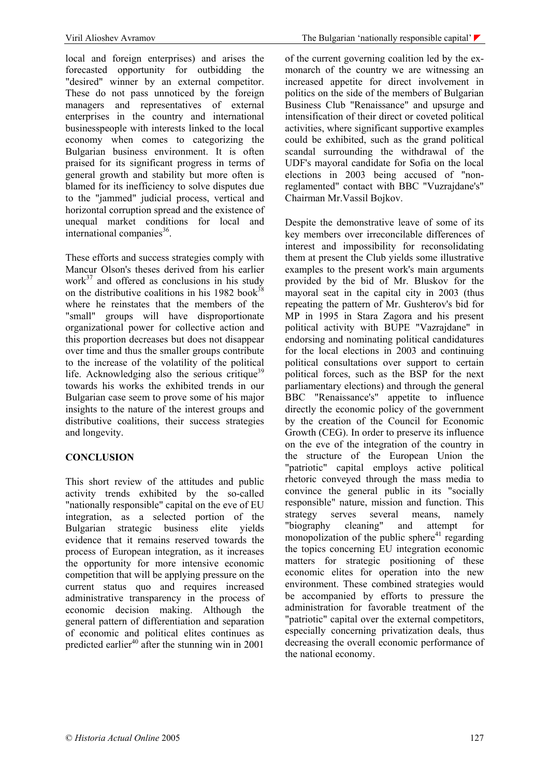local and foreign enterprises) and arises the forecasted opportunity for outbidding the "desired" winner by an external competitor. These do not pass unnoticed by the foreign managers and representatives of external enterprises in the country and international businesspeople with interests linked to the local economy when comes to categorizing the Bulgarian business environment. It is often praised for its significant progress in terms of general growth and stability but more often is blamed for its inefficiency to solve disputes due to the "jammed" judicial process, vertical and horizontal corruption spread and the existence of unequal market conditions for local and international companies $^{36}$ .

These efforts and success strategies comply with Mancur Olson's theses derived from his earlier work $37$  and offered as conclusions in his study on the distributive coalitions in his 1982 book<sup>38</sup> where he reinstates that the members of the "small" groups will have disproportionate organizational power for collective action and this proportion decreases but does not disappear over time and thus the smaller groups contribute to the increase of the volatility of the political life. Acknowledging also the serious critique<sup>39</sup> towards his works the exhibited trends in our Bulgarian case seem to prove some of his major insights to the nature of the interest groups and distributive coalitions, their success strategies and longevity.

### **CONCLUSION**

This short review of the attitudes and public activity trends exhibited by the so-called "nationally responsible" capital on the eve of EU integration, as a selected portion of the Bulgarian strategic business elite yields evidence that it remains reserved towards the process of European integration, as it increases the opportunity for more intensive economic competition that will be applying pressure on the current status quo and requires increased administrative transparency in the process of economic decision making. Although the general pattern of differentiation and separation of economic and political elites continues as predicted earlier<sup>40</sup> after the stunning win in  $2001$ 

of the current governing coalition led by the exmonarch of the country we are witnessing an increased appetite for direct involvement in politics on the side of the members of Bulgarian Business Club "Renaissance" and upsurge and intensification of their direct or coveted political activities, where significant supportive examples could be exhibited, such as the grand political scandal surrounding the withdrawal of the UDF's mayoral candidate for Sofia on the local elections in 2003 being accused of "nonreglamented" contact with BBC "Vuzrajdane's" Chairman Mr.Vassil Bojkov.

Despite the demonstrative leave of some of its key members over irreconcilable differences of interest and impossibility for reconsolidating them at present the Club yields some illustrative examples to the present work's main arguments provided by the bid of Mr. Bluskov for the mayoral seat in the capital city in 2003 (thus repeating the pattern of Mr. Gushterov's bid for MP in 1995 in Stara Zagora and his present political activity with BUPE "Vazrajdane" in endorsing and nominating political candidatures for the local elections in 2003 and continuing political consultations over support to certain political forces, such as the BSP for the next parliamentary elections) and through the general BBC "Renaissance's" appetite to influence directly the economic policy of the government by the creation of the Council for Economic Growth (CEG). In order to preserve its influence on the eve of the integration of the country in the structure of the European Union the "patriotic" capital employs active political rhetoric conveyed through the mass media to convince the general public in its "socially responsible" nature, mission and function. This strategy serves several means, namely "biography cleaning" and attempt for monopolization of the public sphere<sup>41</sup> regarding the topics concerning EU integration economic matters for strategic positioning of these economic elites for operation into the new environment. These combined strategies would be accompanied by efforts to pressure the administration for favorable treatment of the "patriotic" capital over the external competitors, especially concerning privatization deals, thus decreasing the overall economic performance of the national economy.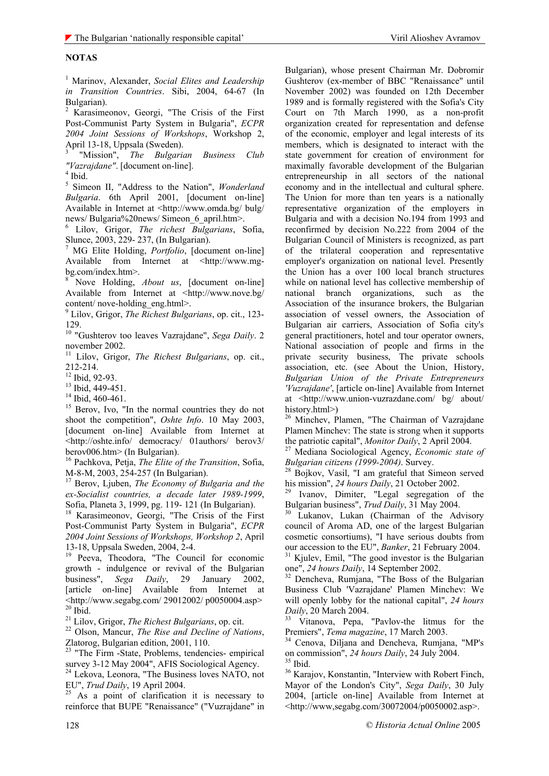#### **NOTAS**

1 Marinov, Alexander, *Social Elites and Leadership in Transition Countries*. Sibi, 2004, 64-67 (In Bulgarian).

2 Karasimeonov, Georgi, "The Crisis of the First Post-Communist Party System in Bulgaria", *ECPR 2004 Joint Sessions of Workshops*, Workshop 2, April 13-18, Uppsala (Sweden).

3 "Mission", *The Bulgarian Business Club "Vazrajdane"*. [document on-line]. 4

 $^4$ Ibid. $\,$ 

5 Simeon II, "Address to the Nation", *Wonderland Bulgaria*. 6th April 2001, [document on-line] Available in Internet at <http://www.omda.bg/ bulg/ news/ Bulgaria%20news/ Simeon 6 april.htm>.

6 Lilov, Grigor, *The richest Bulgarians*, Sofia, Slunce, 2003, 229- 237, (In Bulgarian).

7 MG Elite Holding, *Portfolio*, [document on-line] Available from Internet at <http://www.mgbg.com/index.htm>.

8 Nove Holding, *About us*, [document on-line] Available from Internet at <http://www.nove.bg/ content/ nove-holding\_eng.html>.

9 Lilov, Grigor, *The Richest Bulgarians*, op. cit., 123- 129.

10 "Gushterov too leaves Vazrajdane", *Sega Daily*. 2 november 2002.

11 Lilov, Grigor, *The Richest Bulgarians*, op. cit., 212-214.

 $12$  Ibid, 92-93.

<sup>13</sup> Ibid, 449-451.

 $14$  Ibid, 460-461.

<sup>15</sup> Berov, Ivo, "In the normal countries they do not shoot the competition", *Oshte Info*. 10 May 2003, [document on-line] Available from Internet at <http://oshte.info/ democracy/ 01authors/ berov3/ berov006.htm> (In Bulgarian).

16 Pachkova, Petja, *The Elite of the Transition*, Sofia, M-8-M, 2003, 254-257 (In Bulgarian).

17 Berov, Ljuben, *The Economy of Bulgaria and the ex-Socialist countries, a decade later 1989-1999*, Sofia, Planeta 3, 1999, pg. 119- 121 (In Bulgarian).

18 Karasimeonov, Georgi, "The Crisis of the First Post-Communist Party System in Bulgaria", *ECPR 2004 Joint Sessions of Workshops, Workshop 2*, April 13-18, Uppsala Sweden, 2004, 2-4.

19 Peeva, Theodora, "The Council for economic growth - indulgence or revival of the Bulgarian business", *Sega Daily*, 29 January 2002, [article on-line] Available from Internet at <http://www.segabg.com/ 29012002/ p0050004.asp> <sup>20</sup> Ibid.<br><sup>21</sup> Lilov. Grigor. *The Richest Bulgarians*, op. cit.

<sup>22</sup> Olson, Mancur, *The Rise and Decline of Nations*, Zlatorog, Bulgarian edition, 2001, 110.

23 "The Firm -State, Problems, tendencies- empirical survey 3-12 May 2004", AFIS Sociological Agency.

<sup>24</sup> Lekova, Leonora, "The Business loves NATO, not EU", *Trud Daily*, 19 April 2004.

<sup>25</sup> As a point of clarification it is necessary to reinforce that BUPE "Renaissance" ("Vuzrajdane" in

Bulgarian), whose present Chairman Mr. Dobromir Gushterov (ex-member of BBC "Renaissance" until November 2002) was founded on 12th December 1989 and is formally registered with the Sofia's City Court on 7th March 1990, as a non-profit organization created for representation and defense of the economic, employer and legal interests of its members, which is designated to interact with the state government for creation of environment for maximally favorable development of the Bulgarian entrepreneurship in all sectors of the national economy and in the intellectual and cultural sphere. The Union for more than ten years is a nationally representative organization of the employers in Bulgaria and with a decision No.194 from 1993 and reconfirmed by decision No.222 from 2004 of the Bulgarian Council of Ministers is recognized, as part of the trilateral cooperation and representative employer's organization on national level. Presently the Union has a over 100 local branch structures while on national level has collective membership of national branch organizations, such as the Association of the insurance brokers, the Bulgarian association of vessel owners, the Association of Bulgarian air carriers, Association of Sofia city's general practitioners, hotel and tour operator owners, National association of people and firms in the private security business, The private schools association, etc. (see About the Union, History, *Bulgarian Union of the Private Entrepreneurs 'Vuzrajdane'*, [article on-line] Available from Internet at <http://www.union-vuzrazdane.com/ bg/ about/ history.html>)

<sup>26</sup> Minchev, Plamen, "The Chairman of Vazrajdane Plamen Minchev: The state is strong when it supports<br>the patriotic capital", Monitor Daily, 2 April 2004.

<sup>27</sup> Mediana Sociological Agency, *Economic state of* 

*Bulgarian citizens (1999-2004)*. Survey.<br><sup>28</sup> Bojkov, Vasil, "I am grateful that Simeon served

his mission", 24 hours Daily, 21 October 2002.<br><sup>29</sup> Ivanov, Dimiter, "Legal segregation of the Bulgarian business", *Trud Daily*, 31 May 2004.<br><sup>30</sup> Lukanov, Lukan (Chairman of the Advisory

council of Aroma AD, one of the largest Bulgarian cosmetic consortiums), "I have serious doubts from<br>our accession to the EU", *Banker*, 21 February 2004.

<sup>31</sup> Kjulev, Emil, "The good investor is the Bulgarian one<sup>"</sup>, 24 hours Daily, 14 September 2002.<br><sup>32</sup> Dencheva, Rumjana, "The Boss of the Bulgarian

Business Club 'Vazrajdane' Plamen Minchev: We will openly lobby for the national capital", *24 hours* 

*Daily*, 20 March 2004.<br><sup>33</sup> Vitanova, Pepa, "Pavlov-the litmus for the Premiers". *Tema magazine*, 17 March 2003.

<sup>34</sup> Cenova, Diliana and Dencheva, Rumiana, "MP's on commission", 24 hours Daily, 24 July 2004.<br><sup>35</sup> Ibid.

36 Karajov, Konstantin, "Interview with Robert Finch, Mayor of the London's City", *Sega Daily*, 30 July 2004, [article on-line] Available from Internet at <http://www,segabg.com/30072004/p0050002.asp>.